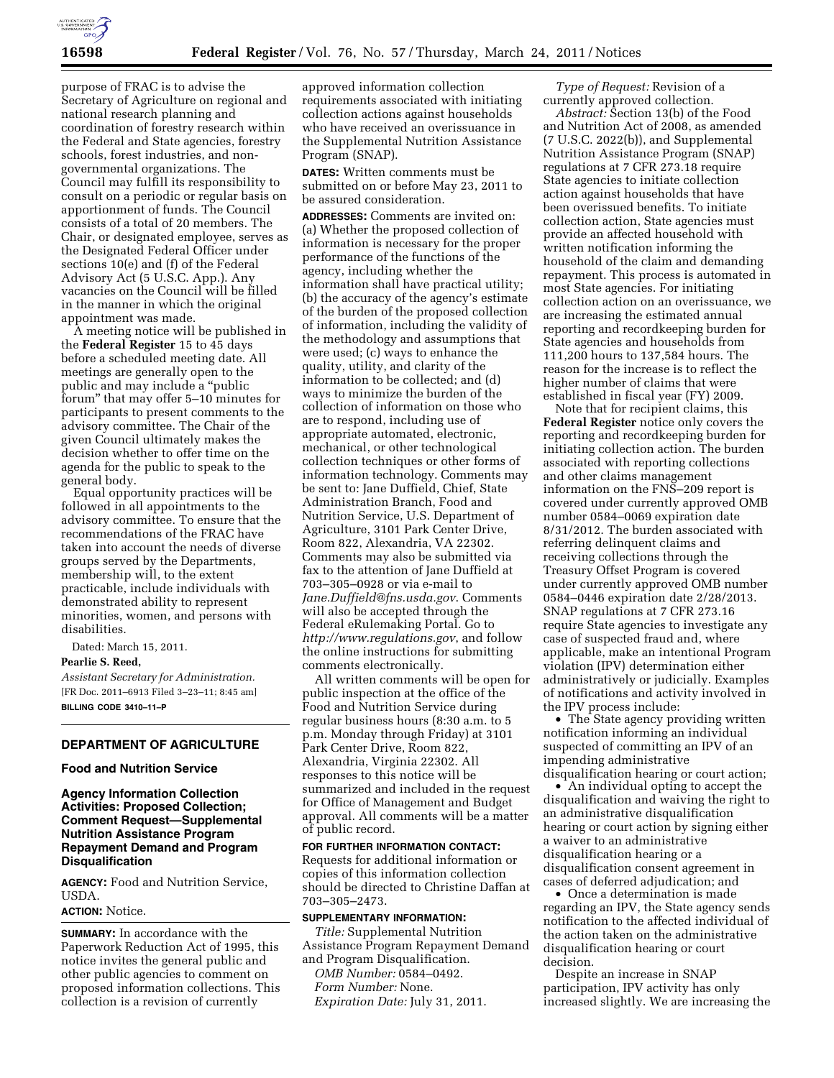

purpose of FRAC is to advise the Secretary of Agriculture on regional and national research planning and coordination of forestry research within the Federal and State agencies, forestry schools, forest industries, and nongovernmental organizations. The Council may fulfill its responsibility to consult on a periodic or regular basis on apportionment of funds. The Council consists of a total of 20 members. The Chair, or designated employee, serves as the Designated Federal Officer under sections 10(e) and (f) of the Federal Advisory Act (5 U.S.C. App.). Any vacancies on the Council will be filled in the manner in which the original appointment was made.

A meeting notice will be published in the **Federal Register** 15 to 45 days before a scheduled meeting date. All meetings are generally open to the public and may include a ''public forum'' that may offer 5–10 minutes for participants to present comments to the advisory committee. The Chair of the given Council ultimately makes the decision whether to offer time on the agenda for the public to speak to the general body.

Equal opportunity practices will be followed in all appointments to the advisory committee. To ensure that the recommendations of the FRAC have taken into account the needs of diverse groups served by the Departments, membership will, to the extent practicable, include individuals with demonstrated ability to represent minorities, women, and persons with disabilities.

Dated: March 15, 2011. **Pearlie S. Reed,**  *Assistant Secretary for Administration.*  [FR Doc. 2011–6913 Filed 3–23–11; 8:45 am] **BILLING CODE 3410–11–P** 

# **DEPARTMENT OF AGRICULTURE**

## **Food and Nutrition Service**

# **Agency Information Collection Activities: Proposed Collection; Comment Request—Supplemental Nutrition Assistance Program Repayment Demand and Program Disqualification**

**AGENCY:** Food and Nutrition Service, USDA.

## **ACTION:** Notice.

**SUMMARY:** In accordance with the Paperwork Reduction Act of 1995, this notice invites the general public and other public agencies to comment on proposed information collections. This collection is a revision of currently

approved information collection requirements associated with initiating collection actions against households who have received an overissuance in the Supplemental Nutrition Assistance Program (SNAP).

**DATES:** Written comments must be submitted on or before May 23, 2011 to be assured consideration.

**ADDRESSES:** Comments are invited on: (a) Whether the proposed collection of information is necessary for the proper performance of the functions of the agency, including whether the information shall have practical utility; (b) the accuracy of the agency's estimate of the burden of the proposed collection of information, including the validity of the methodology and assumptions that were used; (c) ways to enhance the quality, utility, and clarity of the information to be collected; and (d) ways to minimize the burden of the collection of information on those who are to respond, including use of appropriate automated, electronic, mechanical, or other technological collection techniques or other forms of information technology. Comments may be sent to: Jane Duffield, Chief, State Administration Branch, Food and Nutrition Service, U.S. Department of Agriculture, 3101 Park Center Drive, Room 822, Alexandria, VA 22302. Comments may also be submitted via fax to the attention of Jane Duffield at 703–305–0928 or via e-mail to *[Jane.Duffield@fns.usda.gov](mailto:Jane.Duffield@fns.usda.gov)*. Comments will also be accepted through the Federal eRulemaking Portal. Go to *<http://www.regulations.gov>*, and follow the online instructions for submitting comments electronically.

All written comments will be open for public inspection at the office of the Food and Nutrition Service during regular business hours (8:30 a.m. to 5 p.m. Monday through Friday) at 3101 Park Center Drive, Room 822, Alexandria, Virginia 22302. All responses to this notice will be summarized and included in the request for Office of Management and Budget approval. All comments will be a matter of public record.

# **FOR FURTHER INFORMATION CONTACT:**  Requests for additional information or copies of this information collection should be directed to Christine Daffan at 703–305–2473.

### **SUPPLEMENTARY INFORMATION:**

*Title:* Supplemental Nutrition Assistance Program Repayment Demand and Program Disqualification. *OMB Number:* 0584–0492.

*Form Number:* None.

*Expiration Date:* July 31, 2011.

*Type of Request:* Revision of a currently approved collection.

*Abstract:* Section 13(b) of the Food and Nutrition Act of 2008, as amended (7 U.S.C. 2022(b)), and Supplemental Nutrition Assistance Program (SNAP) regulations at 7 CFR 273.18 require State agencies to initiate collection action against households that have been overissued benefits. To initiate collection action, State agencies must provide an affected household with written notification informing the household of the claim and demanding repayment. This process is automated in most State agencies. For initiating collection action on an overissuance, we are increasing the estimated annual reporting and recordkeeping burden for State agencies and households from 111,200 hours to 137,584 hours. The reason for the increase is to reflect the higher number of claims that were established in fiscal year (FY) 2009.

Note that for recipient claims, this **Federal Register** notice only covers the reporting and recordkeeping burden for initiating collection action. The burden associated with reporting collections and other claims management information on the FNS–209 report is covered under currently approved OMB number 0584–0069 expiration date 8/31/2012. The burden associated with referring delinquent claims and receiving collections through the Treasury Offset Program is covered under currently approved OMB number 0584–0446 expiration date 2/28/2013. SNAP regulations at 7 CFR 273.16 require State agencies to investigate any case of suspected fraud and, where applicable, make an intentional Program violation (IPV) determination either administratively or judicially. Examples of notifications and activity involved in the IPV process include:

• The State agency providing written notification informing an individual suspected of committing an IPV of an impending administrative disqualification hearing or court action;

• An individual opting to accept the disqualification and waiving the right to an administrative disqualification hearing or court action by signing either a waiver to an administrative disqualification hearing or a disqualification consent agreement in cases of deferred adjudication; and

• Once a determination is made regarding an IPV, the State agency sends notification to the affected individual of the action taken on the administrative disqualification hearing or court decision.

Despite an increase in SNAP participation, IPV activity has only increased slightly. We are increasing the